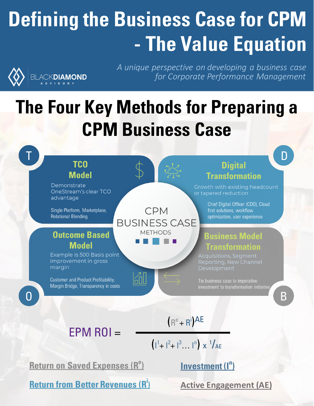# **Defining the Business Case for CPM - The Value Equation**



*A unique perspective on developing a business case for Corporate Performance Management*

## **The Four Key Methods for Preparing a CPM Business Case**



**Return on Saved Expenses (R<sup>e</sup> )** 

**Return from Better Revenues (R<sup>i</sup> )** 

**Investment (I<sup>n</sup> )** 

**Active Engagement (AE)**